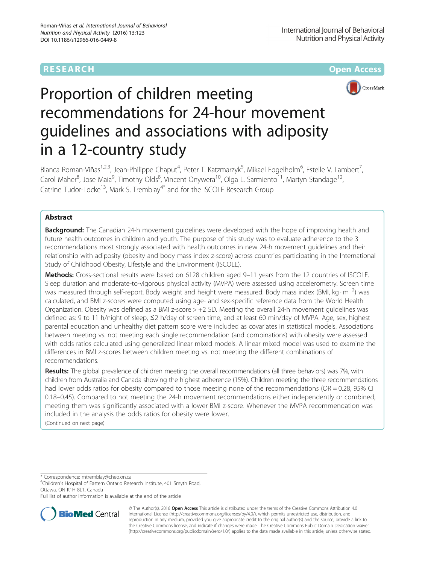# **RESEARCH CHE Open Access**



# Proportion of children meeting recommendations for 24-hour movement guidelines and associations with adiposity in a 12-country study

Blanca Roman-Viñas<sup>1,2,3</sup>, Jean-Philippe Chaput<sup>4</sup>, Peter T. Katzmarzyk<sup>5</sup>, Mikael Fogelholm<sup>6</sup>, Estelle V. Lambert<sup>7</sup> , Carol Maher<sup>8</sup>, Jose Maia<sup>9</sup>, Timothy Olds<sup>8</sup>, Vincent Onywera<sup>10</sup>, Olga L. Sarmiento<sup>11</sup>, Martyn Standage<sup>12</sup>, Catrine Tudor-Locke<sup>13</sup>, Mark S. Tremblay<sup>4\*</sup> and for the ISCOLE Research Group

# Abstract

**Background:** The Canadian 24-h movement guidelines were developed with the hope of improving health and future health outcomes in children and youth. The purpose of this study was to evaluate adherence to the 3 recommendations most strongly associated with health outcomes in new 24-h movement guidelines and their relationship with adiposity (obesity and body mass index z-score) across countries participating in the International Study of Childhood Obesity, Lifestyle and the Environment (ISCOLE).

Methods: Cross-sectional results were based on 6128 children aged 9-11 years from the 12 countries of ISCOLE. Sleep duration and moderate-to-vigorous physical activity (MVPA) were assessed using accelerometry. Screen time was measured through self-report. Body weight and height were measured. Body mass index (BMI, kg · m−<sup>2</sup> ) was calculated, and BMI z-scores were computed using age- and sex-specific reference data from the World Health Organization. Obesity was defined as a BMI z-score > +2 SD. Meeting the overall 24-h movement guidelines was defined as: 9 to 11 h/night of sleep, ≤2 h/day of screen time, and at least 60 min/day of MVPA. Age, sex, highest parental education and unhealthy diet pattern score were included as covariates in statistical models. Associations between meeting vs. not meeting each single recommendation (and combinations) with obesity were assessed with odds ratios calculated using generalized linear mixed models. A linear mixed model was used to examine the differences in BMI z-scores between children meeting vs. not meeting the different combinations of recommendations.

Results: The global prevalence of children meeting the overall recommendations (all three behaviors) was 7%, with children from Australia and Canada showing the highest adherence (15%). Children meeting the three recommendations had lower odds ratios for obesity compared to those meeting none of the recommendations (OR = 0.28, 95% CI) 0.18–0.45). Compared to not meeting the 24-h movement recommendations either independently or combined, meeting them was significantly associated with a lower BMI z-score. Whenever the MVPA recommendation was included in the analysis the odds ratios for obesity were lower. (Continued on next page)

\* Correspondence: [mtremblay@cheo.on.ca](mailto:mtremblay@cheo.on.ca) <sup>4</sup>

Children's Hospital of Eastern Ontario Research Institute, 401 Smyth Road, Ottawa, ON K1H 8L1, Canada

Full list of author information is available at the end of the article



© The Author(s). 2016 Open Access This article is distributed under the terms of the Creative Commons Attribution 4.0 International License [\(http://creativecommons.org/licenses/by/4.0/](http://creativecommons.org/licenses/by/4.0/)), which permits unrestricted use, distribution, and reproduction in any medium, provided you give appropriate credit to the original author(s) and the source, provide a link to the Creative Commons license, and indicate if changes were made. The Creative Commons Public Domain Dedication waiver [\(http://creativecommons.org/publicdomain/zero/1.0/](http://creativecommons.org/publicdomain/zero/1.0/)) applies to the data made available in this article, unless otherwise stated.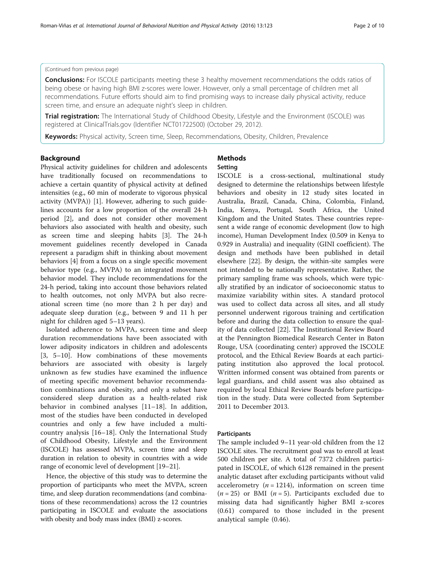Conclusions: For ISCOLE participants meeting these 3 healthy movement recommendations the odds ratios of being obese or having high BMI z-scores were lower. However, only a small percentage of children met all recommendations. Future efforts should aim to find promising ways to increase daily physical activity, reduce screen time, and ensure an adequate night's sleep in children.

Trial registration: The International Study of Childhood Obesity, Lifestyle and the Environment (ISCOLE) was registered at ClinicalTrials.gov (Identifier NCT01722500) (October 29, 2012).

Keywords: Physical activity, Screen time, Sleep, Recommendations, Obesity, Children, Prevalence

# Background

Physical activity guidelines for children and adolescents have traditionally focused on recommendations to achieve a certain quantity of physical activity at defined intensities (e.g., 60 min of moderate to vigorous physical activity (MVPA)) [\[1](#page-8-0)]. However, adhering to such guidelines accounts for a low proportion of the overall 24-h period [[2\]](#page-8-0), and does not consider other movement behaviors also associated with health and obesity, such as screen time and sleeping habits [\[3](#page-8-0)]. The 24-h movement guidelines recently developed in Canada represent a paradigm shift in thinking about movement behaviors [[4](#page-8-0)] from a focus on a single specific movement behavior type (e.g., MVPA) to an integrated movement behavior model. They include recommendations for the 24-h period, taking into account those behaviors related to health outcomes, not only MVPA but also recreational screen time (no more than 2 h per day) and adequate sleep duration (e.g., between 9 and 11 h per night for children aged 5–13 years).

Isolated adherence to MVPA, screen time and sleep duration recommendations have been associated with lower adiposity indicators in children and adolescents [[3, 5](#page-8-0)–[10](#page-8-0)]. How combinations of these movements behaviors are associated with obesity is largely unknown as few studies have examined the influence of meeting specific movement behavior recommendation combinations and obesity, and only a subset have considered sleep duration as a health-related risk behavior in combined analyses [[11](#page-8-0)–[18](#page-8-0)]. In addition, most of the studies have been conducted in developed countries and only a few have included a multicountry analysis [[16](#page-8-0)–[18](#page-8-0)]. Only the International Study of Childhood Obesity, Lifestyle and the Environment (ISCOLE) has assessed MVPA, screen time and sleep duration in relation to obesity in countries with a wide range of economic level of development [\[19](#page-8-0)–[21](#page-8-0)].

Hence, the objective of this study was to determine the proportion of participants who meet the MVPA, screen time, and sleep duration recommendations (and combinations of these recommendations) across the 12 countries participating in ISCOLE and evaluate the associations with obesity and body mass index (BMI) z-scores.

# Methods

#### Setting

ISCOLE is a cross-sectional, multinational study designed to determine the relationships between lifestyle behaviors and obesity in 12 study sites located in Australia, Brazil, Canada, China, Colombia, Finland, India, Kenya, Portugal, South Africa, the United Kingdom and the United States. These countries represent a wide range of economic development (low to high income), Human Development Index (0.509 in Kenya to 0.929 in Australia) and inequality (GINI coefficient). The design and methods have been published in detail elsewhere [[22\]](#page-8-0). By design, the within-site samples were not intended to be nationally representative. Rather, the primary sampling frame was schools, which were typically stratified by an indicator of socioeconomic status to maximize variability within sites. A standard protocol was used to collect data across all sites, and all study personnel underwent rigorous training and certification before and during the data collection to ensure the quality of data collected [[22\]](#page-8-0). The Institutional Review Board at the Pennington Biomedical Research Center in Baton Rouge, USA (coordinating center) approved the ISCOLE protocol, and the Ethical Review Boards at each participating institution also approved the local protocol. Written informed consent was obtained from parents or legal guardians, and child assent was also obtained as required by local Ethical Review Boards before participation in the study. Data were collected from September 2011 to December 2013.

#### Participants

The sample included 9–11 year-old children from the 12 ISCOLE sites. The recruitment goal was to enroll at least 500 children per site. A total of 7372 children participated in ISCOLE, of which 6128 remained in the present analytic dataset after excluding participants without valid accelerometry ( $n = 1214$ ), information on screen time  $(n = 25)$  or BMI  $(n = 5)$ . Participants excluded due to missing data had significantly higher BMI z-scores (0.61) compared to those included in the present analytical sample (0.46).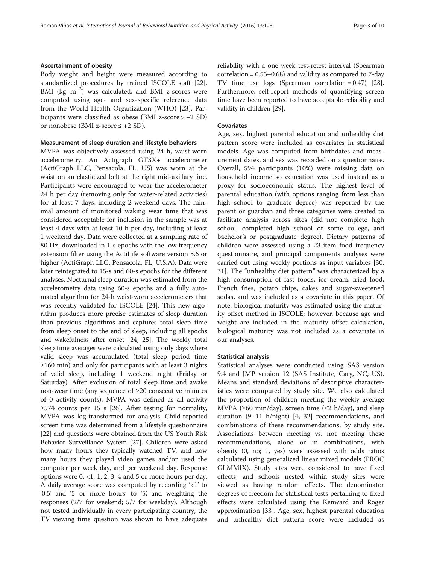## Ascertainment of obesity

Body weight and height were measured according to standardized procedures by trained ISCOLE staff [\[22](#page-8-0)]. BMI (kg·m<sup>-2</sup>) was calculated, and BMI z-scores were computed using age- and sex-specific reference data from the World Health Organization (WHO) [[23](#page-8-0)]. Participants were classified as obese (BMI z-score > +2 SD) or nonobese (BMI z-score  $\leq$  +2 SD).

## Measurement of sleep duration and lifestyle behaviors

MVPA was objectively assessed using 24-h, waist-worn accelerometry. An Actigraph GT3X+ accelerometer (ActiGraph LLC, Pensacola, FL, US) was worn at the waist on an elasticized belt at the right mid-axillary line. Participants were encouraged to wear the accelerometer 24 h per day (removing only for water-related activities) for at least 7 days, including 2 weekend days. The minimal amount of monitored waking wear time that was considered acceptable for inclusion in the sample was at least 4 days with at least 10 h per day, including at least 1 weekend day. Data were collected at a sampling rate of 80 Hz, downloaded in 1-s epochs with the low frequency extension filter using the ActiLife software version 5.6 or higher (ActiGraph LLC, Pensacola, FL, U.S.A). Data were later reintegrated to 15-s and 60-s epochs for the different analyses. Nocturnal sleep duration was estimated from the accelerometry data using 60-s epochs and a fully automated algorithm for 24-h waist-worn accelerometers that was recently validated for ISCOLE [\[24](#page-8-0)]. This new algorithm produces more precise estimates of sleep duration than previous algorithms and captures total sleep time from sleep onset to the end of sleep, including all epochs and wakefulness after onset [\[24](#page-8-0), [25\]](#page-8-0). The weekly total sleep time averages were calculated using only days where valid sleep was accumulated (total sleep period time ≥160 min) and only for participants with at least 3 nights of valid sleep, including 1 weekend night (Friday or Saturday). After exclusion of total sleep time and awake non-wear time (any sequence of ≥20 consecutive minutes of 0 activity counts), MVPA was defined as all activity  $\geq$ 574 counts per 15 s [[26\]](#page-8-0). After testing for normality, MVPA was log-transformed for analysis. Child-reported screen time was determined from a lifestyle questionnaire [[22](#page-8-0)] and questions were obtained from the US Youth Risk Behavior Surveillance System [\[27](#page-8-0)]. Children were asked how many hours they typically watched TV, and how many hours they played video games and/or used the computer per week day, and per weekend day. Response options were  $0, <1, 1, 2, 3, 4$  and 5 or more hours per day. A daily average score was computed by recording '<1' to '0.5' and '5 or more hours' to '5', and weighting the responses (2/7 for weekend; 5/7 for weekday). Although not tested individually in every participating country, the TV viewing time question was shown to have adequate

reliability with a one week test-retest interval (Spearman correlation = 0.55–0.68) and validity as compared to 7-day TV time use logs (Spearman correlation = 0.47) [[28](#page-8-0)]. Furthermore, self-report methods of quantifying screen time have been reported to have acceptable reliability and validity in children [\[29\]](#page-8-0).

#### Covariates

Age, sex, highest parental education and unhealthy diet pattern score were included as covariates in statistical models. Age was computed from birthdates and measurement dates, and sex was recorded on a questionnaire. Overall, 594 participants (10%) were missing data on household income so education was used instead as a proxy for socioeconomic status. The highest level of parental education (with options ranging from less than high school to graduate degree) was reported by the parent or guardian and three categories were created to facilitate analysis across sites (did not complete high school, completed high school or some college, and bachelor's or postgraduate degree). Dietary patterns of children were assessed using a 23-item food frequency questionnaire, and principal components analyses were carried out using weekly portions as input variables [[30](#page-8-0), [31\]](#page-8-0). The "unhealthy diet pattern" was characterized by a high consumption of fast foods, ice cream, fried food, French fries, potato chips, cakes and sugar-sweetened sodas, and was included as a covariate in this paper. Of note, biological maturity was estimated using the maturity offset method in ISCOLE; however, because age and weight are included in the maturity offset calculation, biological maturity was not included as a covariate in our analyses.

#### Statistical analysis

Statistical analyses were conducted using SAS version 9.4 and JMP version 12 (SAS Institute, Cary, NC, US). Means and standard deviations of descriptive characteristics were computed by study site. We also calculated the proportion of children meeting the weekly average MVPA ( $\geq 60$  min/day), screen time ( $\leq 2$  h/day), and sleep duration (9–11 h/night) [[4, 32](#page-8-0)] recommendations, and combinations of these recommendations, by study site. Associations between meeting vs. not meeting these recommendations, alone or in combinations, with obesity (0, no; 1, yes) were assessed with odds ratios calculated using generalized linear mixed models (PROC GLMMIX). Study sites were considered to have fixed effects, and schools nested within study sites were viewed as having random effects. The denominator degrees of freedom for statistical tests pertaining to fixed effects were calculated using the Kenward and Roger approximation [[33\]](#page-8-0). Age, sex, highest parental education and unhealthy diet pattern score were included as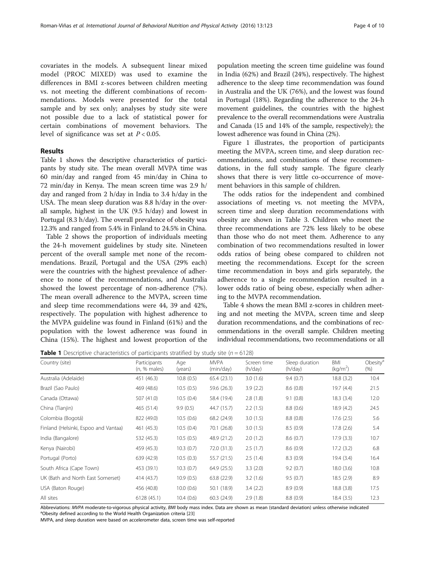covariates in the models. A subsequent linear mixed model (PROC MIXED) was used to examine the differences in BMI z-scores between children meeting vs. not meeting the different combinations of recommendations. Models were presented for the total sample and by sex only; analyses by study site were not possible due to a lack of statistical power for certain combinations of movement behaviors. The level of significance was set at  $P < 0.05$ .

## Results

Table 1 shows the descriptive characteristics of participants by study site. The mean overall MVPA time was 60 min/day and ranged from 45 min/day in China to 72 min/day in Kenya. The mean screen time was 2.9 h/ day and ranged from 2 h/day in India to 3.4 h/day in the USA. The mean sleep duration was 8.8 h/day in the overall sample, highest in the UK (9.5 h/day) and lowest in Portugal (8.3 h/day). The overall prevalence of obesity was 12.3% and ranged from 5.4% in Finland to 24.5% in China.

Table [2](#page-4-0) shows the proportion of individuals meeting the 24-h movement guidelines by study site. Nineteen percent of the overall sample met none of the recommendations. Brazil, Portugal and the USA (29% each) were the countries with the highest prevalence of adherence to none of the recommendations, and Australia showed the lowest percentage of non-adherence (7%). The mean overall adherence to the MVPA, screen time and sleep time recommendations were 44, 39 and 42%, respectively. The population with highest adherence to the MVPA guideline was found in Finland (61%) and the population with the lowest adherence was found in China (15%). The highest and lowest proportion of the

population meeting the screen time guideline was found in India (62%) and Brazil (24%), respectively. The highest adherence to the sleep time recommendation was found in Australia and the UK (76%), and the lowest was found in Portugal (18%). Regarding the adherence to the 24-h movement guidelines, the countries with the highest prevalence to the overall recommendations were Australia and Canada (15 and 14% of the sample, respectively); the lowest adherence was found in China (2%).

Figure [1](#page-4-0) illustrates, the proportion of participants meeting the MVPA, screen time, and sleep duration recommendations, and combinations of these recommendations, in the full study sample. The figure clearly shows that there is very little co-occurrence of movement behaviors in this sample of children.

The odds ratios for the independent and combined associations of meeting vs. not meeting the MVPA, screen time and sleep duration recommendations with obesity are shown in Table [3](#page-5-0). Children who meet the three recommendations are 72% less likely to be obese than those who do not meet them. Adherence to any combination of two recommendations resulted in lower odds ratios of being obese compared to children not meeting the recommendations. Except for the screen time recommendation in boys and girls separately, the adherence to a single recommendation resulted in a lower odds ratio of being obese, especially when adhering to the MVPA recommendation.

Table [4](#page-5-0) shows the mean BMI z-scores in children meeting and not meeting the MVPA, screen time and sleep duration recommendations, and the combinations of recommendations in the overall sample. Children meeting individual recommendations, two recommendations or all

**Table 1** Descriptive characteristics of participants stratified by study site ( $n = 6128$ )

| Country (site)                       | Participants<br>(n, % males) | Age<br>(years) | <b>MVPA</b><br>(min/day) | Screen time<br>(h/day) | Sleep duration<br>(h/day) | <b>BMI</b><br>$(kg/m^2)$ | Obesity <sup>a</sup><br>(% ) |
|--------------------------------------|------------------------------|----------------|--------------------------|------------------------|---------------------------|--------------------------|------------------------------|
| Australia (Adelaide)                 | 451 (46.3)                   | 10.8(0.5)      | 65.4 (23.1)              | 3.0(1.6)               | 9.4(0.7)                  | 18.8(3.2)                | 10.4                         |
| Brazil (Sao Paulo)                   | 469 (48.6)                   | 10.5(0.5)      | 59.6 (26.3)              | 3.9(2.2)               | 8.6(0.8)                  | 19.7 (4.4)               | 21.5                         |
| Canada (Ottawa)                      | 507 (41.0)                   | 10.5(0.4)      | 58.4 (19.4)              | 2.8(1.8)               | 9.1(0.8)                  | 18.3(3.4)                | 12.0                         |
| China (Tianjin)                      | 465 (51.4)                   | 9.9(0.5)       | 44.7 (15.7)              | 2.2(1.5)               | 8.8(0.6)                  | 18.9 (4.2)               | 24.5                         |
| Colombia (Bogotá)                    | 822 (49.0)                   | 10.5(0.6)      | 68.2 (24.9)              | 3.0(1.5)               | 8.8(0.8)                  | 17.6(2.5)                | 5.6                          |
| Finland (Helsinki, Espoo and Vantaa) | 461 (45.3)                   | 10.5(0.4)      | 70.1 (26.8)              | 3.0(1.5)               | 8.5(0.9)                  | 17.8(2.6)                | 5.4                          |
| India (Bangalore)                    | 532 (45.3)                   | 10.5(0.5)      | 48.9 (21.2)              | 2.0(1.2)               | 8.6(0.7)                  | 17.9(3.3)                | 10.7                         |
| Kenya (Nairobi)                      | 459 (45.3)                   | 10.3(0.7)      | 72.0 (31.3)              | 2.5(1.7)               | 8.6(0.9)                  | 17.2(3.2)                | 6.8                          |
| Portugal (Porto)                     | 639 (42.9)                   | 10.5(0.3)      | 55.7 (21.5)              | 2.5(1.4)               | 8.3(0.9)                  | 19.4 (3.4)               | 16.4                         |
| South Africa (Cape Town)             | 453 (39.1)                   | 10.3(0.7)      | 64.9 (25.5)              | 3.3(2.0)               | 9.2(0.7)                  | 18.0(3.6)                | 10.8                         |
| UK (Bath and North East Somerset)    | 414 (43.7)                   | 10.9(0.5)      | 63.8(22.9)               | 3.2(1.6)               | 9.5(0.7)                  | 18.5(2.9)                | 8.9                          |
| USA (Baton Rouge)                    | 456 (40.8)                   | 10.0(0.6)      | 50.1 (18.9)              | 3.4(2.2)               | 8.9(0.9)                  | 18.8(3.8)                | 17.5                         |
| All sites                            | 6128 (45.1)                  | 10.4(0.6)      | 60.3(24.9)               | 2.9(1.8)               | 8.8(0.9)                  | 18.4(3.5)                | 12.3                         |
|                                      |                              |                |                          |                        |                           |                          |                              |

Abbreviations: MVPA moderate-to-vigorous physical activity, BMI body mass index. Data are shown as mean (standard deviation) unless otherwise indicated Obesity defined according to the World Health Organization criteria [[23\]](#page-8-0)

MVPA, and sleep duration were based on accelerometer data, screen time was self-reported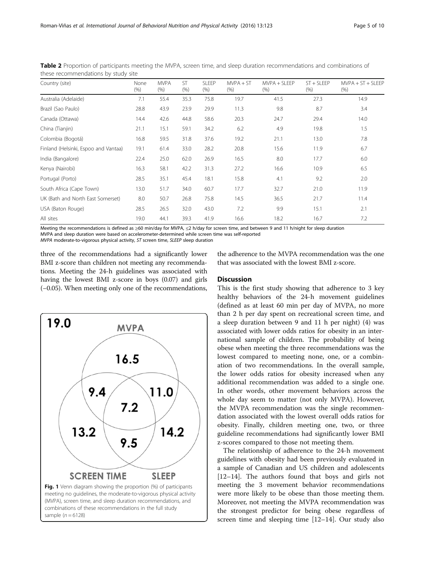| Country (site)                       | None<br>(% ) | <b>MVPA</b><br>(% ) | <b>ST</b><br>(% ) | <b>SLEEP</b><br>(% ) | $MVPA + ST$<br>(% ) | $MVPA + SLEEP$<br>(% ) | $ST + SLEEP$<br>(% ) | $MVPA + ST + SLEEP$<br>(% ) |
|--------------------------------------|--------------|---------------------|-------------------|----------------------|---------------------|------------------------|----------------------|-----------------------------|
| Australia (Adelaide)                 | 7.1          | 55.4                | 35.3              | 75.8                 | 19.7                | 41.5                   | 27.3                 | 14.9                        |
| Brazil (Sao Paulo)                   | 28.8         | 43.9                | 23.9              | 29.9                 | 11.3                | 9.8                    | 8.7                  | 3.4                         |
| Canada (Ottawa)                      | 14.4         | 42.6                | 44.8              | 58.6                 | 20.3                | 24.7                   | 29.4                 | 14.0                        |
| China (Tianjin)                      | 21.1         | 15.1                | 59.1              | 34.2                 | 6.2                 | 4.9                    | 19.8                 | 1.5                         |
| Colombia (Bogotá)                    | 16.8         | 59.5                | 31.8              | 37.6                 | 19.2                | 21.1                   | 13.0                 | 7.8                         |
| Finland (Helsinki, Espoo and Vantaa) | 19.1         | 61.4                | 33.0              | 28.2                 | 20.8                | 15.6                   | 11.9                 | 6.7                         |
| India (Bangalore)                    | 22.4         | 25.0                | 62.0              | 26.9                 | 16.5                | 8.0                    | 17.7                 | 6.0                         |
| Kenya (Nairobi)                      | 16.3         | 58.1                | 42.2              | 31.3                 | 27.2                | 16.6                   | 10.9                 | 6.5                         |
| Portugal (Porto)                     | 28.5         | 35.1                | 45.4              | 18.1                 | 15.8                | 4.1                    | 9.2                  | 2.0                         |
| South Africa (Cape Town)             | 13.0         | 51.7                | 34.0              | 60.7                 | 17.7                | 32.7                   | 21.0                 | 11.9                        |
| UK (Bath and North East Somerset)    | 8.0          | 50.7                | 26.8              | 75.8                 | 14.5                | 36.5                   | 21.7                 | 11.4                        |
| USA (Baton Rouge)                    | 28.5         | 26.5                | 32.0              | 43.0                 | 7.2                 | 9.9                    | 15.1                 | 2.1                         |
| All sites                            | 19.0         | 44.1                | 39.3              | 41.9                 | 16.6                | 18.2                   | 16.7                 | 7.2                         |

<span id="page-4-0"></span>Table 2 Proportion of participants meeting the MVPA, screen time, and sleep duration recommendations and combinations of these recommendations by study site

Meeting the recommendations is defined as ≥60 min/day for MVPA, ≤2 h/day for screen time, and between 9 and 11 h/night for sleep duration MVPA and sleep duration were based on accelerometer-determined while screen time was self-reported

MVPA moderate-to-vigorous physical activity, ST screen time, SLEEP sleep duration

three of the recommendations had a significantly lower BMI z-score than children not meeting any recommendations. Meeting the 24-h guidelines was associated with having the lowest BMI z-score in boys (0.07) and girls (−0.05). When meeting only one of the recommendations,



sample  $(n = 6128)$ 

# the adherence to the MVPA recommendation was the one that was associated with the lowest BMI z-score.

# Discussion

This is the first study showing that adherence to 3 key healthy behaviors of the 24-h movement guidelines (defined as at least 60 min per day of MVPA, no more than 2 h per day spent on recreational screen time, and a sleep duration between 9 and 11 h per night) (4) was associated with lower odds ratios for obesity in an international sample of children. The probability of being obese when meeting the three recommendations was the lowest compared to meeting none, one, or a combination of two recommendations. In the overall sample, the lower odds ratios for obesity increased when any additional recommendation was added to a single one. In other words, other movement behaviors across the whole day seem to matter (not only MVPA). However, the MVPA recommendation was the single recommendation associated with the lowest overall odds ratios for obesity. Finally, children meeting one, two, or three guideline recommendations had significantly lower BMI z-scores compared to those not meeting them.

The relationship of adherence to the 24-h movement guidelines with obesity had been previously evaluated in a sample of Canadian and US children and adolescents [[12](#page-8-0)–[14](#page-8-0)]. The authors found that boys and girls not meeting the 3 movement behavior recommendations were more likely to be obese than those meeting them. Moreover, not meeting the MVPA recommendation was the strongest predictor for being obese regardless of screen time and sleeping time [\[12](#page-8-0)–[14\]](#page-8-0). Our study also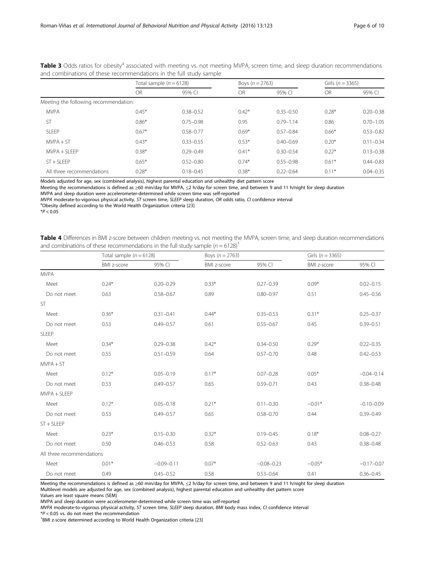|                                       |           | Total sample $(n = 6128)$ |         | Boys $(n = 2763)$ |         | Girls ( $n = 3365$ ) |  |
|---------------------------------------|-----------|---------------------------|---------|-------------------|---------|----------------------|--|
|                                       | <b>OR</b> | 95% CI                    | OR      | 95% CI            | OR      | 95% CI               |  |
| Meeting the following recommendation: |           |                           |         |                   |         |                      |  |
| <b>MVPA</b>                           | $0.45*$   | $0.38 - 0.52$             | $0.42*$ | $0.35 - 0.50$     | $0.28*$ | $0.20 - 0.38$        |  |
| <b>ST</b>                             | $0.86*$   | $0.75 - 0.98$             | 0.95    | $0.79 - 1.14$     | 0.86    | $0.70 - 1.05$        |  |
| <b>SLEEP</b>                          | $0.67*$   | $0.58 - 0.77$             | $0.69*$ | $0.57 - 0.84$     | $0.66*$ | $0.53 - 0.82$        |  |
| $MVPA + ST$                           | $0.43*$   | $0.33 - 0.55$             | $0.53*$ | $0.40 - 0.69$     | $0.20*$ | $0.11 - 0.34$        |  |
| $MVPA + SI$ FFP                       | $0.38*$   | $0.29 - 0.49$             | $0.41*$ | $0.30 - 0.54$     | $0.22*$ | $0.13 - 0.38$        |  |
| $ST + SLEEP$                          | $0.65*$   | $0.52 - 0.80$             | $0.74*$ | $0.55 - 0.98$     | $0.61*$ | $0.44 - 0.83$        |  |
| All three recommendations             | $0.28*$   | $0.18 - 0.45$             | $0.38*$ | $0.22 - 0.64$     | $0.11*$ | $0.04 - 0.35$        |  |

<span id="page-5-0"></span>Table 3 Odds ratios for obesity<sup>a</sup> associated with meeting vs. not meeting MVPA, screen time, and sleep duration recommendations and combinations of these recommendations in the full study sample

Models adjusted for age, sex (combined analysis), highest parental education and unhealthy diet pattern score

Meeting the recommendations is defined as ≥60 min/day for MVPA, ≤2 h/day for screen time, and between 9 and 11 h/night for sleep duration

MVPA and sleep duration were accelerometer-determined while screen time was self-reported

MVPA moderate-to-vigorous physical activity, ST screen time, SLEEP sleep duration, OR odds ratio, CI confidence interval <sup>a</sup>

Obesity defined according to the World Health Organization criteria [[23\]](#page-8-0)

 $*P < 0.05$ 

| Table 4 Differences in BMI z-score between children meeting vs. not meeting the MVPA, screen time, and sleep duration recommendations |  |  |
|---------------------------------------------------------------------------------------------------------------------------------------|--|--|
| and combinations of these recommendations in the full study sample $(n = 6128)^T$                                                     |  |  |

|                           |             | Total sample ( $n = 6128$ ) |                    |                | Girls ( $n = 3365$ ) |                |
|---------------------------|-------------|-----------------------------|--------------------|----------------|----------------------|----------------|
|                           | BMI z-score | 95% CI                      | <b>BMI</b> z-score | 95% CI         | <b>BMI</b> z-score   | 95% CI         |
| <b>MVPA</b>               |             |                             |                    |                |                      |                |
| Meet                      | $0.24*$     | $0.20 - 0.29$               | $0.33*$            | $0.27 - 0.39$  | $0.09*$              | $0.02 - 0.15$  |
| Do not meet               | 0.63        | $0.58 - 0.67$               | 0.89               | $0.80 - 0.97$  | 0.51                 | $0.45 - 0.56$  |
| <b>ST</b>                 |             |                             |                    |                |                      |                |
| Meet                      | $0.36*$     | $0.31 - 0.41$               | $0.44*$            | $0.35 - 0.53$  | $0.31*$              | $0.25 - 0.37$  |
| Do not meet               | 0.53        | $0.49 - 0.57$               | 0.61               | $0.55 - 0.67$  | 0.45                 | $0.39 - 0.51$  |
| <b>SLEEP</b>              |             |                             |                    |                |                      |                |
| Meet                      | $0.34*$     | $0.29 - 0.38$               | $0.42*$            | $0.34 - 0.50$  | $0.29*$              | $0.22 - 0.35$  |
| Do not meet               | 0.55        | $0.51 - 0.59$               | 0.64               | $0.57 - 0.70$  | 0.48                 | $0.42 - 0.53$  |
| $MVPA + ST$               |             |                             |                    |                |                      |                |
| Meet                      | $0.12*$     | $0.05 - 0.19$               | $0.17*$            | $0.07 - 0.28$  | $0.05*$              | $-0.04 - 0.14$ |
| Do not meet               | 0.53        | $0.49 - 0.57$               | 0.65               | $0.59 - 0.71$  | 0.43                 | $0.38 - 0.48$  |
| MVPA + SLEEP              |             |                             |                    |                |                      |                |
| Meet                      | $0.12*$     | $0.05 - 0.18$               | $0.21*$            | $0.11 - 0.30$  | $-0.01*$             | $-0.10 - 0.09$ |
| Do not meet               | 0.53        | $0.49 - 0.57$               | 0.65               | $0.58 - 0.70$  | 0.44                 | $0.39 - 0.49$  |
| $ST + SLEEP$              |             |                             |                    |                |                      |                |
| Meet                      | $0.23*$     | $0.15 - 0.30$               | $0.32*$            | $0.19 - 0.45$  | $0.18*$              | $0.08 - 0.27$  |
| Do not meet               | 0.50        | $0.46 - 0.53$               | 0.58               | $0.52 - 0.63$  | 0.43                 | $0.38 - 0.48$  |
| All three recommendations |             |                             |                    |                |                      |                |
| Meet                      | $0.01*$     | $-0.09 - 0.11$              | $0.07*$            | $-0.08 - 0.23$ | $-0.05*$             | $-0.17 - 0.07$ |
| Do not meet               | 0.49        | $0.45 - 0.52$               | 0.58               | $0.53 - 0.64$  | 0.41                 | $0.36 - 0.45$  |

Meeting the recommendations is defined as ≥60 min/day for MVPA, ≤2 h/day for screen time, and between 9 and 11 h/night for sleep duration Multilevel models are adjusted for age, sex (combined analysis), highest parental education and unhealthy diet pattern score

Values are least square means (SEM)

MVPA and sleep duration were accelerometer-determined while screen time was self-reported

MVPA moderate-to-vigorous physical activity, ST screen time, SLEEP sleep duration, BMI body mass index, CI confidence interval

 $*P < 0.05$  vs. do not meet the recommendation

BMI z-score determined according to World Health Organization criteria [[23\]](#page-8-0)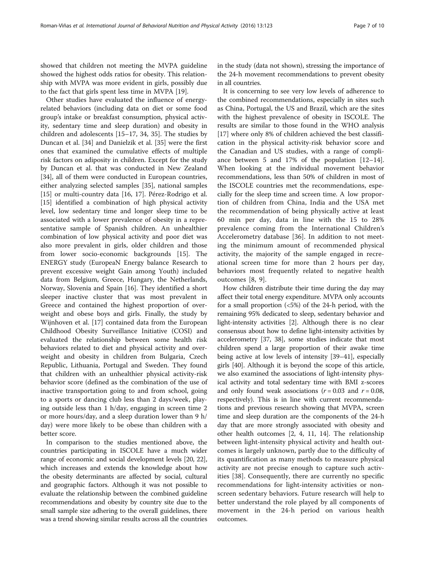showed that children not meeting the MVPA guideline showed the highest odds ratios for obesity. This relationship with MVPA was more evident in girls, possibly due to the fact that girls spent less time in MVPA [\[19](#page-8-0)].

Other studies have evaluated the influence of energyrelated behaviors (including data on diet or some food group's intake or breakfast consumption, physical activity, sedentary time and sleep duration) and obesity in children and adolescents [\[15](#page-8-0)–[17,](#page-8-0) [34](#page-9-0), [35](#page-9-0)]. The studies by Duncan et al. [\[34\]](#page-9-0) and Danielzik et al. [[35\]](#page-9-0) were the first ones that examined the cumulative effects of multiple risk factors on adiposity in children. Except for the study by Duncan et al. that was conducted in New Zealand [[34\]](#page-9-0), all of them were conducted in European countries, either analyzing selected samples [\[35\]](#page-9-0), national samples [[15\]](#page-8-0) or multi-country data [[16](#page-8-0), [17](#page-8-0)]. Pérez-Rodrigo et al. [[15\]](#page-8-0) identified a combination of high physical activity level, low sedentary time and longer sleep time to be associated with a lower prevalence of obesity in a representative sample of Spanish children. An unhealthier combination of low physical activity and poor diet was also more prevalent in girls, older children and those from lower socio-economic backgrounds [\[15\]](#page-8-0). The ENERGY study (EuropeaN Energy balance Research to prevent excessive weight Gain among Youth) included data from Belgium, Greece, Hungary, the Netherlands, Norway, Slovenia and Spain [\[16](#page-8-0)]. They identified a short sleeper inactive cluster that was most prevalent in Greece and contained the highest proportion of overweight and obese boys and girls. Finally, the study by Wijnhoven et al. [[17\]](#page-8-0) contained data from the European Childhood Obesity Surveillance Initiative (COSI) and evaluated the relationship between some health risk behaviors related to diet and physical activity and overweight and obesity in children from Bulgaria, Czech Republic, Lithuania, Portugal and Sweden. They found that children with an unhealthier physical activity-risk behavior score (defined as the combination of the use of inactive transportation going to and from school, going to a sports or dancing club less than 2 days/week, playing outside less than 1 h/day, engaging in screen time 2 or more hours/day, and a sleep duration lower than 9 h/ day) were more likely to be obese than children with a better score.

In comparison to the studies mentioned above, the countries participating in ISCOLE have a much wider range of economic and social development levels [[20, 22](#page-8-0)], which increases and extends the knowledge about how the obesity determinants are affected by social, cultural and geographic factors. Although it was not possible to evaluate the relationship between the combined guideline recommendations and obesity by country site due to the small sample size adhering to the overall guidelines, there was a trend showing similar results across all the countries in the study (data not shown), stressing the importance of the 24-h movement recommendations to prevent obesity in all countries.

It is concerning to see very low levels of adherence to the combined recommendations, especially in sites such as China, Portugal, the US and Brazil, which are the sites with the highest prevalence of obesity in ISCOLE. The results are similar to those found in the WHO analysis [[17\]](#page-8-0) where only 8% of children achieved the best classification in the physical activity-risk behavior score and the Canadian and US studies, with a range of compliance between 5 and 17% of the population [[12](#page-8-0)–[14](#page-8-0)]. When looking at the individual movement behavior recommendations, less than 50% of children in most of the ISCOLE countries met the recommendations, especially for the sleep time and screen time. A low proportion of children from China, India and the USA met the recommendation of being physically active at least 60 min per day, data in line with the 15 to 28% prevalence coming from the International Children's Accelerometry database [[36\]](#page-9-0). In addition to not meeting the minimum amount of recommended physical activity, the majority of the sample engaged in recreational screen time for more than 2 hours per day, behaviors most frequently related to negative health outcomes [[8](#page-8-0), [9](#page-8-0)].

How children distribute their time during the day may affect their total energy expenditure. MVPA only accounts for a small proportion (<5%) of the 24-h period, with the remaining 95% dedicated to sleep, sedentary behavior and light-intensity activities [\[2\]](#page-8-0). Although there is no clear consensus about how to define light-intensity activities by accelerometry [\[37](#page-9-0), [38](#page-9-0)], some studies indicate that most children spend a large proportion of their awake time being active at low levels of intensity [\[39](#page-9-0)–[41](#page-9-0)], especially girls [\[40\]](#page-9-0). Although it is beyond the scope of this article, we also examined the associations of light-intensity physical activity and total sedentary time with BMI z-scores and only found weak associations ( $r = 0.03$  and  $r = 0.08$ , respectively). This is in line with current recommendations and previous research showing that MVPA, screen time and sleep duration are the components of the 24-h day that are more strongly associated with obesity and other health outcomes [\[2](#page-8-0), [4](#page-8-0), [11, 14\]](#page-8-0). The relationship between light-intensity physical activity and health outcomes is largely unknown, partly due to the difficulty of its quantification as many methods to measure physical activity are not precise enough to capture such activities [[38\]](#page-9-0). Consequently, there are currently no specific recommendations for light-intensity activities or nonscreen sedentary behaviors. Future research will help to better understand the role played by all components of movement in the 24-h period on various health outcomes.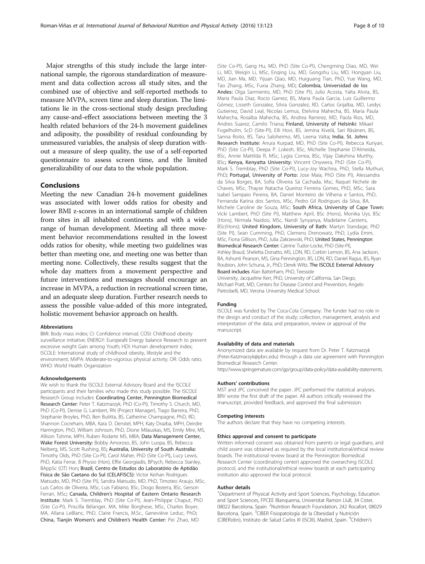Major strengths of this study include the large international sample, the rigorous standardization of measurement and data collection across all study sites, and the combined use of objective and self-reported methods to measure MVPA, screen time and sleep duration. The limitations lie in the cross-sectional study design precluding any cause-and-effect associations between meeting the 3 health related behaviors of the 24-h movement guidelines and adiposity, the possibility of residual confounding by unmeasured variables, the analysis of sleep duration without a measure of sleep quality, the use of a self-reported questionnaire to assess screen time, and the limited generalizability of our data to the whole population.

### Conclusions

Meeting the new Canadian 24-h movement guidelines was associated with lower odds ratios for obesity and lower BMI z-scores in an international sample of children from sites in all inhabited continents and with a wide range of human development. Meeting all three movement behavior recommendations resulted in the lowest odds ratios for obesity, while meeting two guidelines was better than meeting one, and meeting one was better than meeting none. Collectively, these results suggest that the whole day matters from a movement perspective and future interventions and messages should encourage an increase in MVPA, a reduction in recreational screen time, and an adequate sleep duration. Further research needs to assess the possible value-added of this more integrated, holistic movement behavior approach on health.

#### Abbreviations

BMI: Body mass index; CI: Confidence interval; COSI: Childhood obesity surveillance initiative; ENERGY: EuropeaN Energy balance Research to prevent excessive weight Gain among Youth; HDI: Human development index; ISCOLE: International study of childhood obesity, lifestyle and the environment; MVPA: Moderate-to-vigorous physical activity; OR: Odds ratio; WHO: World Health Organization

#### Acknowledgements

We wish to thank the ISCOLE External Advisory Board and the ISCOLE participants and their families who made this study possible. The ISCOLE Research Group includes: Coordinating Center, Pennington Biomedical Research Center: Peter T. Katzmarzyk, PhD (Co-PI), Timothy S. Church, MD, PhD (Co-PI), Denise G. Lambert, RN (Project Manager), Tiago Barreira, PhD, Stephanie Broyles, PhD, Ben Butitta, BS, Catherine Champagne, PhD, RD, Shannon Cocreham, MBA, Kara D. Denstel, MPH, Katy Drazba, MPH, Deirdre Harrington, PhD, William Johnson, PhD, Dione Milauskas, MS, Emily Mire, MS, Allison Tohme, MPH, Ruben Rodarte MS, MBA; Data Management Center, Wake Forest University: Bobby Amoroso, BS, John Luopa, BS, Rebecca Neiberg, MS, Scott Rushing, BS; Australia, University of South Australia: Timothy Olds, PhD (Site Co-PI), Carol Maher, PhD (Site Co-PI), Lucy Lewis, PhD, Katia Ferrar, B Physio (Hon), Effie Georgiadis, BPsych, Rebecca Stanley, BAppSc (OT) Hon; Brazil, Centro de Estudos do Laboratório de Aptidão Física de São Caetano do Sul (CELAFISCS): Victor Keihan Rodrigues Matsudo, MD, PhD (Site PI), Sandra Matsudo, MD, PhD, Timoteo Araujo, MSc, Luis Carlos de Oliveira, MSc, Luis Fabiano, BSc, Diogo Bezerra, BSc, Gerson Ferrari, MSc; Canada, Children's Hospital of Eastern Ontario Research Institute: Mark S. Tremblay, PhD (Site Co-PI), Jean-Philippe Chaput, PhD (Site Co-PI), Priscilla Bélanger, MA, Mike Borghese, MSc, Charles Boyer, MA, Allana LeBlanc, PhD, Claire Francis, M.Sc., Geneviève Leduc, PhD; China, Tianjin Women's and Children's Health Center: Pei Zhao, MD

(Site Co-PI), Gang Hu, MD, PhD (Site Co-PI), Chengming Diao, MD, Wei Li, MD, Weiqin Li, MSc, Enqing Liu, MD, Gongshu Liu, MD, Hongyan Liu, MD, Jian Ma, MD, Yijuan Qiao, MD, Huiguang Tian, PhD, Yue Wang, MD, Tao Zhang, MSc, Fuxia Zhang, MD; Colombia, Universidad de los Andes: Olga Sarmiento, MD, PhD (Site PI), Julio Acosta, Yalta Alvira, BS, Maria Paula Diaz, Rocio Gamez, BS, Maria Paula Garcia, Luis Guillermo Gómez, Lisseth Gonzalez, Silvia Gonzalez, RD, Carlos Grijalba, MD, Leidys Gutierrez, David Leal, Nicolas Lemus, Etelvina Mahecha, BS, Maria Paula Mahecha, Rosalba Mahecha, BS, Andrea Ramirez, MD, Paola Rios, MD, Andres Suarez, Camilo Triana; Finland, University of Helsinki: Mikael Fogelholm, ScD (Site-PI), Elli Hovi, BS, Jemina Kivelä, Sari Räsänen, BS, Sanna Roito, BS, Taru Saloheimo, MS, Leena Valta; India, St. Johns Research Institute: Anura Kurpad, MD, PhD (Site Co-PI), Rebecca Kuriyan, PhD (Site Co-PI), Deepa P. Lokesh, BSc, Michelle Stephanie D'Almeida, BSc, Annie Mattilda R, MSc, Lygia Correa, BSc, Vijay Dakshina Murthy, BSc; Kenya, Kenyatta University: Vincent Onywera, PhD (Site Co-PI), Mark S. Tremblay, PhD (Site Co-PI), Lucy-Joy Wachira, PhD, Stella Muthuri, PhD; Portugal, University of Porto: Jose Maia, PhD (Site PI), Alessandra da Silva Borges, BA, Sofia Oliveira Sá Cachada, Msc, Raquel Nichele de Chaves, MSc, Thayse Natacha Queiroz Ferreira Gomes, PhD, MSc, Sara Isabel Sampaio Pereira, BA, Daniel Monteiro de Vilhena e Santos, PhD, Fernanda Karina dos Santos, MSc, Pedro Gil Rodrigues da Silva, BA, Michele Caroline de Souza, MSc; South Africa, University of Cape Town: Vicki Lambert, PhD (Site PI), Matthew April, BSc (Hons), Monika Uys, BSc (Hons), Nirmala Naidoo, MSc, Nandi Synyanya, Madelaine Carstens, BSc(Hons); United Kingdom, University of Bath: Martyn Standage, PhD (Site PI), Sean Cumming, PhD, Clemens Drenowatz, PhD, Lydia Emm, MSc, Fiona Gillison, PhD, Julia Zakrzewski, PhD; United States, Pennington Biomedical Research Center: Catrine Tudor-Locke, PhD (Site-PI), Ashley Braud, Sheletta Donatto, MS, LDN, RD, Corbin Lemon, BS, Ana Jackson, BA, Ashunti Pearson, MS, Gina Pennington, BS, LDN, RD, Daniel Ragus, BS, Ryan Roubion, John Schuna, Jr., PhD; Derek Wiltz. The ISCOLE External Advisory Board includes Alan Batterham, PhD, Teesside University, Jacqueline Kerr, PhD, University of California, San Diego; Michael Pratt, MD, Centers for Disease Control and Prevention, Angelo Pietrobelli, MD, Verona University Medical School.

#### Funding

ISCOLE was funded by The Coca-Cola Company. The funder had no role in the design and conduct of the study; collection, management, analysis and interpretation of the data; and preparation, review or approval of the manuscript.

#### Availability of data and materials

Anonymized data are available by request from Dr. Peter T. Katzmarzyk (Peter.Katzmarzyk@pbrc.edu) through a data use agreement with Pennington Biomedical Research Center. <http://www.springernature.com/gp/group/data-policy/data-availability-statements>.

#### Authors' contributions

MST and JPC conceived the paper. JPC performed the statistical analyses. BRV wrote the first draft of the paper. All authors critically reviewed the manuscript, provided feedback, and approved the final submission.

#### Competing interests

The authors declare that they have no competing interests.

#### Ethics approval and consent to participate

Written informed consent was obtained from parents or legal guardians, and child assent was obtained as required by the local institutional/ethical review boards. The institutional review board at the Pennington Biomedical Research Center (coordinating center) approved the overarching ISCOLE protocol, and the institutional/ethical review boards at each participating institution also approved the local protocol.

#### Author details

<sup>1</sup>Department of Physical Activity and Sport Sciences, Psychology, Education and Sport Sciences, FPCEE Blanquerna, Universitat Ramon Llull, 34 Cister, 08022 Barcelona, Spain. <sup>2</sup>Nutrition Research Foundation, 242 Rocafort, 08029 Barcelona, Spain. <sup>3</sup>CIBER Fisiopatología de la Obesidad y Nutrición (CIBERobn), Instituto de Salud Carlos III (ISCIII), Madrid, Spain. <sup>4</sup>Children's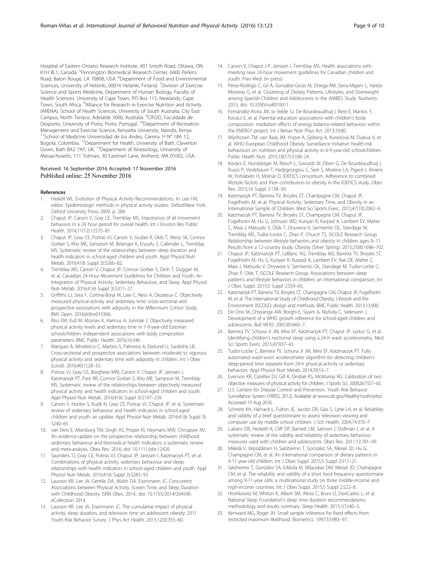<span id="page-8-0"></span>Hospital of Eastern Ontario Research Institute, 401 Smyth Road, Ottawa, ON K1H 8L1, Canada. <sup>5</sup>Pennington Biomedical Research Center, 6400 Perkins Road, Baton Rouge, LA 70808, USA. <sup>6</sup>Department of Food and Environmental Sciences, University of Helsinki, 00014 Helsinki, Finland. <sup>7</sup>Division of Exercise Science and Sports Medicine, Department of Human Biology, Faculty of Health Sciences, University of Cape Town, PO Box 115, Newlands, Cape Town, South Africa. <sup>8</sup>Alliance for Research in Exercise Nutrition and Activity (ARENA), School of Health Sciences, University of South Australia, City East Campus, North Terrace, Adelaide 5000, Australia. <sup>9</sup>CIFI2D, Faculdade de Desporto, University of Porto, Porto, Portugal. <sup>10</sup>Department of Recreation Management and Exercise Science, Kenyatta University, Nairobi, Kenya. <sup>11</sup>School of Medicine Universidad de los Andes, Carrera 1ª Nº 18A 12, Bogotá, Colombia. 12Department for Health, University of Bath, Claverton Down, Bath BA2 7AY, UK. <sup>13</sup>Department of Kinesiology, University of Massachusetts, 111 Totman, 30 Eastman Lane, Amherst, MA 01002, USA.

# Received: 16 September 2016 Accepted: 17 November 2016<br>Published online: 25 November 2016

#### References

- 1. Haskell WL. Evolution of Physical Activity Recommendations. In: Lee I-M, editor. Epidemiologic methods in physical activity studies. Oxford:New York: Oxford University Press; 2009. p. 284.
- 2. Chaput JP, Carson V, Gray CE, Tremblay MS. Importance of all movement behaviors in a 24 hour period for overall health. Int J Environ Res Public Health. 2014;11(12):12575–81.
- 3. Chaput JP, Gray CE, Poitras VJ, Carson V, Gruber R, Olds T, Weiss SK, Connor Gorber S, Kho ME, Sampson M, Belanger K, Eryuzlu S, Callender L, Tremblay MS. Systematic review of the relationships between sleep duration and health indicators in school-aged children and youth. Appl Physiol Nutr Metab. 2016;41(6 Suppl 3):S266–82.
- 4. Tremblay MS, Carson V, Chaput JP, Connor Gorber S, Dinh T, Duggan M, et al. Canadian 24-Hour Movement Guidelines for Children and Youth: An Integration of Physical Activity, Sedentary Behaviour, and Sleep. Appl Physiol Nutr Metab. 2016;41(6 Suppl 3):S311–27.
- 5. Griffiths LJ, Sera F, Cortina-Borja M, Law C, Ness A, Dezateux C. Objectively measured physical activity and sedentary time: cross-sectional and prospective associations with adiposity in the Millennium Cohort Study. BMJ Open. 2016;6(4):e010366.
- 6. Riso EM, Kull M, Mooses K, Hannus A, Jürimäe J. Objectively measured physical activity levels and sedentary time in 7-9-year-old Estonian schoolchildren: independent associations with body composition parameters. BMC Public Health. 2016;16:346.
- 7. Marques A, Minderico C, Martins S, Palmeira A, Ekelund U, Sardinha LB. Cross-sectional and prospective associations between moderate to vigorous physical activity and sedentary time with adiposity in children. Int J Obes (Lond). 2016;40(1):28–33.
- 8. Poitras VJ, Gray CE, Borghese MM, Carson V, Chaput JP, Janssen I, Katzmarzyk PT, Pate RR, Connor Gorber S, Kho ME, Sampson M, Tremblay MS. Systematic review of the relationships between objectively measured physical activity and health indicators in school-aged children and youth. Appl Physiol Nutr Metab. 2016;41(6 Suppl 3):S197–239.
- Carson V, Hunter S, Kuzik N, Gray CE, Poitras VJ, Chaput JP, et al. Systematic review of sedentary behaviour and health indicators in school-aged children and youth: an update. Appl Physiol Nutr Metab. 2016;41(6 Suppl 3): S240–65.
- 10. van Ekris E, Altenburg TM, Singh AS, Proper KI, Heymans MW, Chinapaw MJ. An evidence-update on the prospective relationship between childhood sedentary behaviour and biomedical health indicators: a systematic review and meta-analysis. Obes Rev. 2016; doi: [10.1111/obr.12426](http://dx.doi.org/10.1111/obr.12426)
- 11. Saunders TJ, Gray CE, Poitras VJ, Chaput JP, Janssen I, Katzmarzyk PT, et al. Combinations of physical activity, sedentary behaviour and sleep: relationships with health indicators in school-aged children and youth. Appl Physiol Nutr Metab. 2016;41(6 Suppl 3):S283–93.
- 12. Laurson KR, Lee JA, Gentile DA, Walsh DA, Eisenmann JC. Concurrent Associations between Physical Activity, Screen Time, and Sleep Duration with Childhood Obesity. ISRN Obes. 2014;. doi: [10.1155/2014/204540](http://dx.doi.org/10.1155/2014/204540). eCollection 2014.
- 13. Laurson KR, Lee JA, Eisenmann JC. The cumulative impact of physical activity, sleep duration, and television time on adolescent obesity: 2011 Youth Risk Behavior Survey. J Phys Act Health. 2015;12(3):355–60.
- 14. Carson V, Chaput J-P, Janssen I, Tremblay MS. Health associations with meeting new 24-hour movement guidelines for Canadian children and youth. Prev Med. (in press).
- 15. Pérez-Rodrigo C, Gil Á, González-Gross M, Ortega RM, Serra-Majem L, Varela-Moreiras G, et al. Clustering of Dietary Patterns, Lifestyles, and Overweight among Spanish Children and Adolescents in the ANIBES Study. Nutrients. 2015; doi: [10.3390/nu8010011](http://dx.doi.org/10.3390/nu8010011)
- 16. Fernández-Alvira JM, te Velde SJ, De Bourdeaudhuij I, Bere E, Manios Y, Kovacs E, et al. Parental education associations with children's body composition: mediation effects of energy balance-related behaviors within the ENERGY-project. Int J Behav Nutr Phys Act. 2013;10:80.
- 17. Wijnhoven TM, van Raaij JM, Yngve A, Sjöberg A, Kunešová M, Duleva V, et al. WHO European Childhood Obesity Surveillance Initiative: health-risk behaviours on nutrition and physical activity in 6-9-year-old schoolchildren. Public Health Nutr. 2015;18(17):3108–24.
- 18. Kovács E, Hunsberger M, Reisch L, Gwozdz W, Eiben G, De Bourdeaudhuij I, Russo P, Veidebaum T, Hadjigeorgiou C, Sieri S, Moreno LA, Pigeot I, Ahrens W, Pohlabeln H, Molnár D, IDEFICS consortium. Adherence to combined lifestyle factors and their contribution to obesity in the IDEFICS study. Obes Rev. 2015;16 Suppl 2:138–50.
- 19. Katzmarzyk PT, Barreira TV, Broyles ST, Champagne CM, Chaput JP, Fogelholm M, et al. Physical Activity, Sedentary Time, and Obesity in an International Sample of Children. Med Sci Sports Exerc. 2015;47(10):2062–9.
- 20. Katzmarzyk PT, Barreira TV, Broyles ST, Champagne CM, Chaput JP, Fogelholm M, Hu G, Johnson WD, Kuriyan R, Kurpad A, Lambert EV, Maher C, Maia J, Matsudo V, Olds T, Onywera V, Sarmiento OL, Standage M, Tremblay MS, Tudor-Locke C, Zhao P, Church TS, ISCOLE Research Group. Relationship between lifestyle behaviors and obesity in children ages 9–11: Results from a 12-country study. Obesity (Silver Spring). 2015;23(8):1696–702.
- 21. Chaput JP, Katzmarzyk PT, LeBlanc AG, Tremblay MS, Barreira TV, Broyles ST, Fogelholm M, Hu G, Kuriyan R, Kurpad A, Lambert EV, Rae DE, Maher C, Maia J, Matsudo V, Onywera V, Sarmiento OL, Standage M, Tudor-Locke C, Zhao P, Olds T, ISCOLE Research Group. Associations between sleep patterns and lifestyle behaviors in children: an international comparison. Int J Obes Suppl. 2015;5 Suppl 2:S59–65.
- 22. Katzmarzyk PT, Barreira TV, Broyles ST, Champagne CM, Chaput JP, Fogelholm M, et al. The International Study of Childhood Obesity, Lifestyle and the Environment (ISCOLE): design and methods. BMC Public Health. 2013;13:900.
- 23. De Onis M, Onyyanga AW, Borghi E, Siyam A, Nishida C, Siekmann J. Development of a WHO growth reference for school-aged children and adolescents. Bull WHO. 2007;85:660–7.
- 24. Barreira TV, Schuna Jr JM, Mire EF, Katzmarzyk PT, Chaput JP, Leduc G, et al. Identifying children's nocturnal sleep using a 24-h waist accelerometry. Med Sci Sports Exerc. 2015;47:937–43.
- 25. Tudor-Locke C, Barreira TV, Schuna Jr JM, Mire EF, Katzmarzyk PT. Fully automated waist-worn accelerometer algorithm for detecting children's sleep-period time separate from 24-h physical activity or sedentary behaviors. Appl Physiol Nutr Metab. 2014;39:53–7.
- 26. Evenson KR, Catellier DJ, Gill K, Ondrak KS, McMurray RG. Calibration of two objective measures of physical activity for children. J Sports Sci. 2008;26:1557–65.
- 27. U.S. Centers for Disease Control and Prevention. Youth Risk Behavior Surveillance System (YRBSS, 2012). Available at [www.cdc.gov/HealthyYouth/yrbs/](http://www.cdc.gov/HealthyYouth/yrbs/). Accessed 19 Aug 2016.
- 28. Schmitz KH, Harnack L, Fulton JE, Jacobs DR, Gao S, Lytle LA, et al. Reliability and validity of a brief questionnaire to assess television viewing and computer use by middle school children. J Sch Health. 2004;74:370–7.
- 29. Lubans DR, Hesketh K, Cliff DP, Barnett LM, Salmon J, Dollman J, et al. A systematic review of the validity and reliability of sedentary behaviour measures used with children and adolescents. Obes Rev. 2011;12:781–99.
- 30. Mikkilä V, Vepsäläinen H, Saloheimo T, Gonzalez SA, Meisel JD, Hu G, Champagne CM, et al. An international comparison of dietary patterns in 9-11-year-old children. Int J Obes Suppl. 2015;5 Suppl 2:S17–21.
- 31. Saloheimo T, González SA, Erkkola M, Milauskas DM, Meisel JD, Champagne CM, et al. The reliability and validity of a short food frequency questionnaire among 9-11-year olds: a multinational study on three middle-income and high-income countries. Int J Obes Suppl. 2015;5 Suppl 2:S22–8.
- 32. Hirshkowitz M, Whiton K, Albert SM, Alessi C, Bruni O, DonCarlos L, et al. National Sleep Foundation's sleep time duration recommendations: methodology and results summary. Sleep Health. 2015;1(1):40–3.
- 33. Kenward MG, Roger JH. Small sample inference for fixed effects from restricted maximum likelihood. Biometrics. 1997;53:983–97.